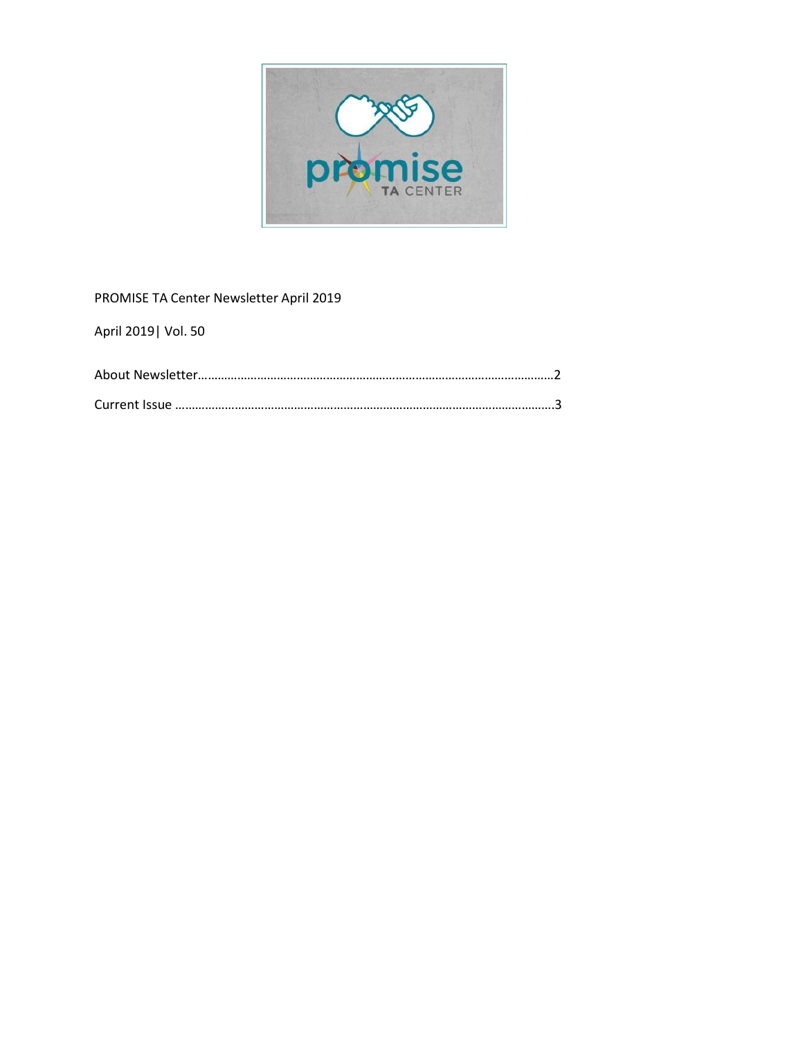

# PROMISE TA Center Newsletter April 2019

April 2019| Vol. 50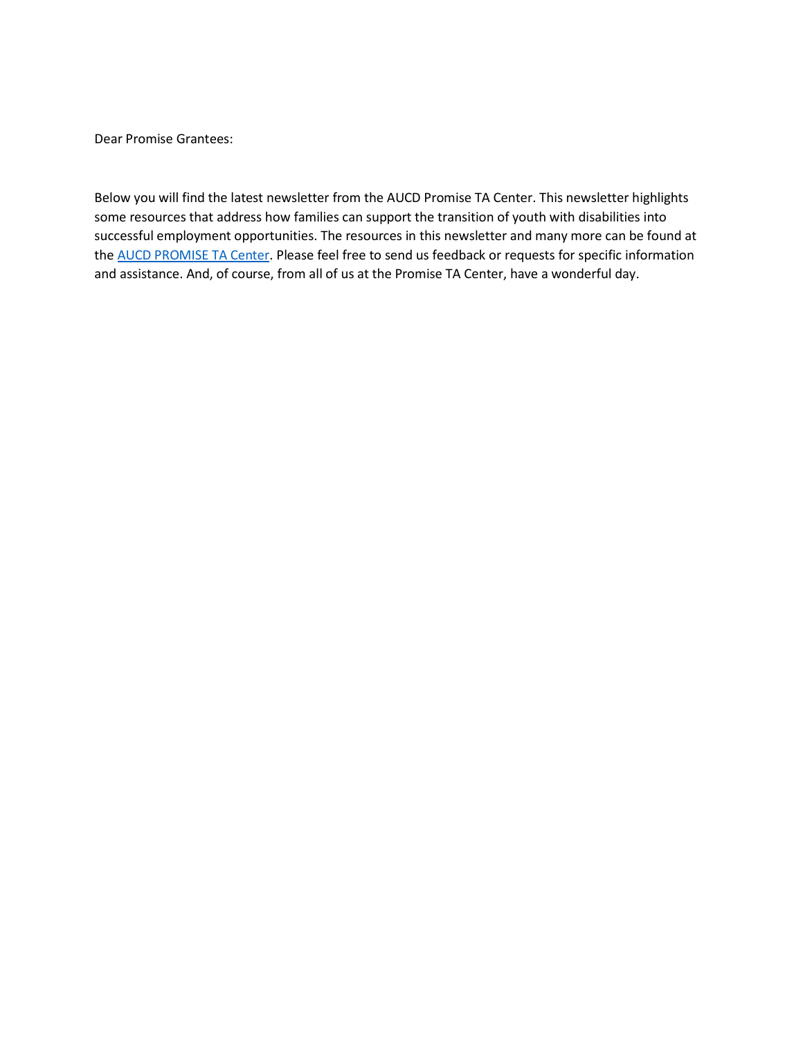Dear Promise Grantees:

Below you will find the latest newsletter from the AUCD Promise TA Center. This newsletter highlights some resources that address how families can support the transition of youth with disabilities into successful employment opportunities. The resources in this newsletter and many more can be found at the AUCD [PROMISE TA](http://www.promisetacenter.org/) Center. Please feel free to send us feedback or requests for specific information and assistance. And, of course, from all of us at the Promise TA Center, have a wonderful day.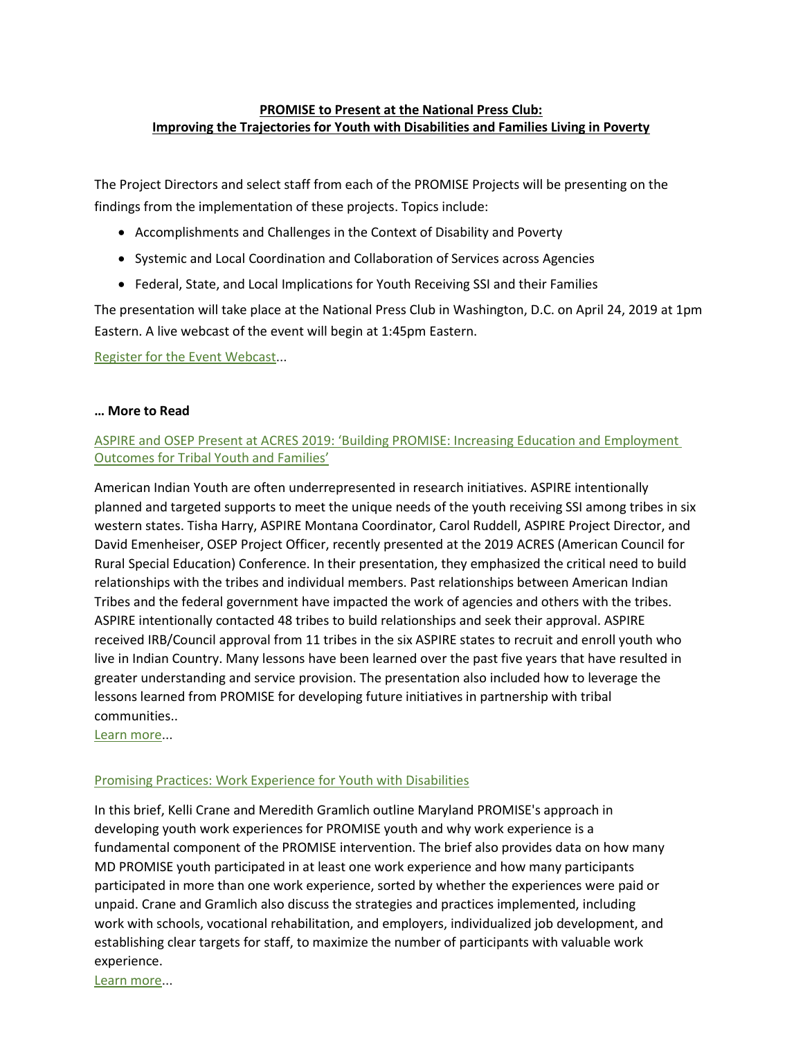## **[PROMISE to Present at the National Press Club:](https://www.aucd.org/meetings/register.cfm?id=306) [Improving the Trajectories for Youth with Disabilities and Families Living in Poverty](https://www.aucd.org/meetings/register.cfm?id=306)**

The Project Directors and select staff from each of the PROMISE Projects will be presenting on the findings from the implementation of these projects. Topics include:

- Accomplishments and Challenges in the Context of Disability and Poverty
- Systemic and Local Coordination and Collaboration of Services across Agencies
- Federal, State, and Local Implications for Youth Receiving SSI and their Families

The presentation will take place at the National Press Club in Washington, D.C. on April 24, 2019 at 1pm Eastern. A live webcast of the event will begin at 1:45pm Eastern.

[Register for the Event Webcast.](https://www.aucd.org/meetings/register.cfm?id=306)..

### **… More to Read**

## [ASPIRE and OSEP Present at ACRES 2019: 'Building PROMISE: Increa](http://www.promisetacenter.org/uploads/events/ACRESBuildingPROMISE2019FINAL.pdf)sing Education and Employment [Outcomes for Tribal Youth and Families'](http://www.promisetacenter.org/uploads/events/ACRESBuildingPROMISE2019FINAL.pdf)

American Indian Youth are often underrepresented in research initiatives. ASPIRE intentionally planned and targeted supports to meet the unique needs of the youth receiving SSI among tribes in six western states. Tisha Harry, ASPIRE Montana Coordinator, Carol Ruddell, ASPIRE Project Director, and David Emenheiser, OSEP Project Officer, recently presented at the 2019 ACRES (American Council for Rural Special Education) Conference. In their presentation, they emphasized the critical need to build relationships with the tribes and individual members. Past relationships between American Indian Tribes and the federal government have impacted the work of agencies and others with the tribes. ASPIRE intentionally contacted 48 tribes to build relationships and seek their approval. ASPIRE received IRB/Council approval from 11 tribes in the six ASPIRE states to recruit and enroll youth who live in Indian Country. Many lessons have been learned over the past five years that have resulted in greater understanding and service provision. The presentation also included how to leverage the lessons learned from PROMISE for developing future initiatives in partnership with tribal communities..

[Learn more.](http://www.promisetacenter.org/uploads/events/ACRESBuildingPROMISE2019FINAL.pdf)..

### [Promising Practices: Work Experience for Youth with Disabilities](http://www.promisetacenter.org/uploads/1_PROMISEBrief_WorkExperience002.pdf)

In this brief, Kelli Crane and Meredith Gramlich outline Maryland PROMISE's approach in developing youth work experiences for PROMISE youth and why work experience is a fundamental component of the PROMISE intervention. The brief also provides data on how many MD PROMISE youth participated in at least one work experience and how many participants participated in more than one work experience, sorted by whether the experiences were paid or unpaid. Crane and Gramlich also discuss the strategies and practices implemented, including work with schools, vocational rehabilitation, and employers, individualized job development, and establishing clear targets for staff, to maximize the number of participants with valuable work experience[.](http://www.sedl.org/connections/engagement_webinars/)

[Learn more.](http://www.promisetacenter.org/uploads/1_PROMISEBrief_WorkExperience002.pdf)..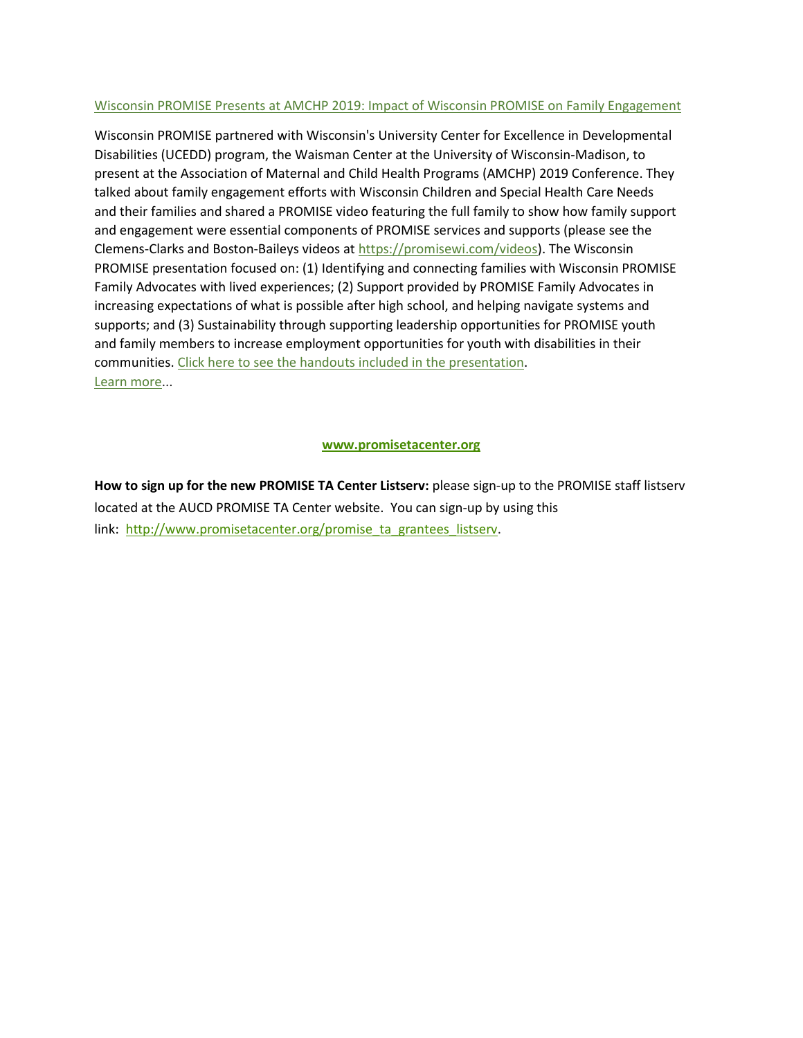### Wisconsin [PROMISE Presents at AMCHP 2019: Impact of Wisconsin PROMISE on Family Engagement](http://www.promisetacenter.org/uploads/events/WisconsinAMCHPPresentation2019.pdf)

Wisconsin PROMISE partnered with Wisconsin's University Center for Excellence in Developmental Disabilities (UCEDD) program, the Waisman Center at the University of Wisconsin-Madison, to present at the Association of Maternal and Child Health Programs (AMCHP) 2019 Conference. They talked about family engagement efforts with Wisconsin Children and Special Health Care Needs and their families and shared a PROMISE video featuring the full family to show how family support and engagement were essential components of PROMISE services and supports (please see the Clemens-Clarks and Boston-Baileys videos at [https://promisewi.com/videos\)](https://promisewi.com/videos). The Wisconsin PROMISE presentation focused on: (1) Identifying and connecting families with Wisconsin PROMISE Family Advocates with lived experiences; (2) Support provided by PROMISE Family Advocates in increasing expectations of what is possible after high school, and helping navigate systems and supports; and (3) Sustainability through supporting leadership opportunities for PROMISE youth and family members to increase employment opportunities for youth with disabilities in their communities. [Click here to see the handouts included in the presentation](http://www.promisetacenter.org/uploads/WisconsinAMCHP2019Handouts.pdf)[.](https://www.ctdinstitute.org/sites/default/files/file_attachments/Getting%20Started%20Exploring%20AT%20With%20Your%20Teen%20or%20Young%20Adult_0.pdf) [Learn more.](http://www.promisetacenter.org/uploads/events/WisconsinAMCHPPresentation2019.pdf)..

### **[www.promisetacenter.org](http://www.promisetacenter.org/)**

**How to sign up for the new PROMISE TA Center Listserv:** please sign-up to the PROMISE staff listserv located at the AUCD PROMISE TA Center website. You can sign-up by using this link: [http://www.promisetacenter.org/promise\\_ta\\_grantees\\_listserv.](http://www.promisetacenter.org/promise_ta_grantees_listserv)